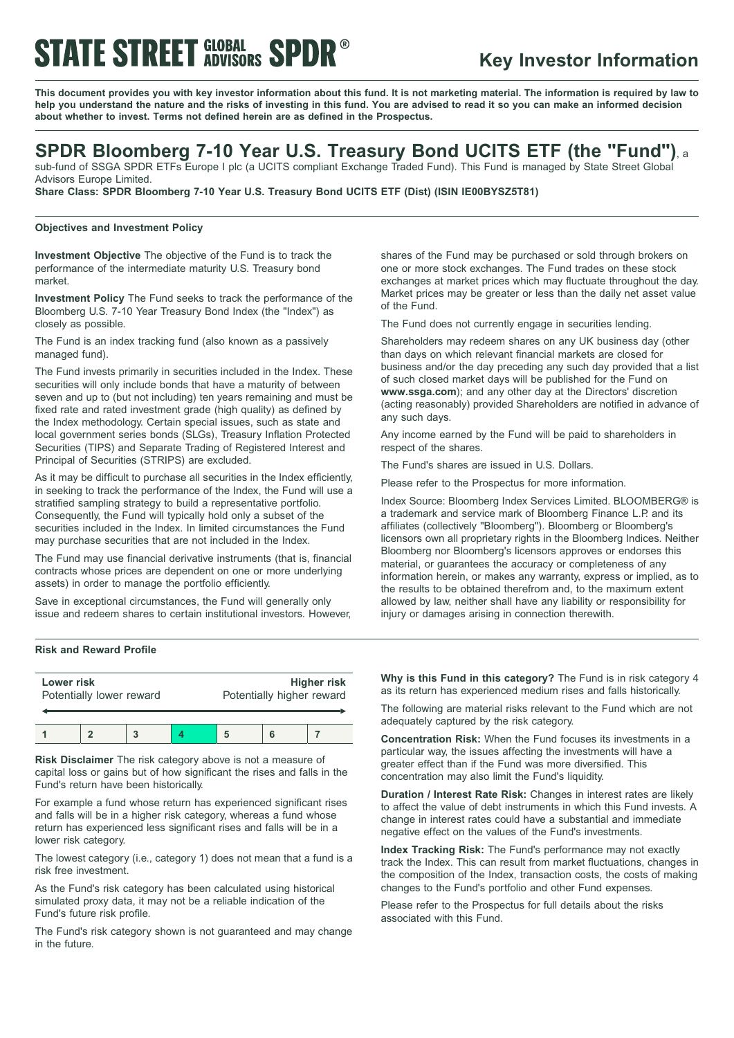# **STATE STREET GLOBAL SPDR**

### **Key Investor Information**

This document provides you with key investor information about this fund. It is not marketing material. The information is required by law to help you understand the nature and the risks of investing in this fund. You are advised to read it so you can make an informed decision **about whether to invest. Terms not defined herein are as defined in the Prospectus.**

### **SPDR Bloomberg 7-10 Year U.S. Treasury Bond UCITS ETF (the "Fund")**, <sup>a</sup>

sub-fund of SSGA SPDR ETFs Europe I plc (a UCITS compliant Exchange Traded Fund). This Fund is managed by State Street Global Advisors Europe Limited.

**Share Class: SPDR Bloomberg 7-10 Year U.S. Treasury Bond UCITS ETF (Dist) (ISIN IE00BYSZ5T81)**

### **Objectives and Investment Policy**

**Investment Objective** The objective of the Fund is to track the performance of the intermediate maturity U.S. Treasury bond market.

**Investment Policy** The Fund seeks to track the performance of the Bloomberg U.S. 7-10 Year Treasury Bond Index (the "Index") as closely as possible.

The Fund is an index tracking fund (also known as a passively managed fund).

The Fund invests primarily in securities included in the Index. These securities will only include bonds that have a maturity of between seven and up to (but not including) ten years remaining and must be fixed rate and rated investment grade (high quality) as defined by the Index methodology. Certain special issues, such as state and local government series bonds (SLGs), Treasury Inflation Protected Securities (TIPS) and Separate Trading of Registered Interest and Principal of Securities (STRIPS) are excluded.

As it may be difficult to purchase all securities in the Index efficiently, in seeking to track the performance of the Index, the Fund will use a stratified sampling strategy to build a representative portfolio. Consequently, the Fund will typically hold only a subset of the securities included in the Index. In limited circumstances the Fund may purchase securities that are not included in the Index.

The Fund may use financial derivative instruments (that is, financial contracts whose prices are dependent on one or more underlying assets) in order to manage the portfolio efficiently.

Save in exceptional circumstances, the Fund will generally only issue and redeem shares to certain institutional investors. However,

shares of the Fund may be purchased or sold through brokers on one or more stock exchanges. The Fund trades on these stock exchanges at market prices which may fluctuate throughout the day. Market prices may be greater or less than the daily net asset value of the Fund.

The Fund does not currently engage in securities lending.

Shareholders may redeem shares on any UK business day (other than days on which relevant financial markets are closed for business and/or the day preceding any such day provided that a list of such closed market days will be published for the Fund on **www.ssga.com**); and any other day at the Directors' discretion (acting reasonably) provided Shareholders are notified in advance of any such days.

Any income earned by the Fund will be paid to shareholders in respect of the shares.

The Fund's shares are issued in U.S. Dollars.

Please refer to the Prospectus for more information.

Index Source: Bloomberg Index Services Limited. BLOOMBERG® is a trademark and service mark of Bloomberg Finance L.P. and its affiliates (collectively "Bloomberg"). Bloomberg or Bloomberg's licensors own all proprietary rights in the Bloomberg Indices. Neither Bloomberg nor Bloomberg's licensors approves or endorses this material, or guarantees the accuracy or completeness of any information herein, or makes any warranty, express or implied, as to the results to be obtained therefrom and, to the maximum extent allowed by law, neither shall have any liability or responsibility for injury or damages arising in connection therewith.

#### **Risk and Reward Profile**

| Lower risk<br>Potentially lower reward |  |  |  | <b>Higher risk</b><br>Potentially higher reward |  |  |
|----------------------------------------|--|--|--|-------------------------------------------------|--|--|
|                                        |  |  |  |                                                 |  |  |
|                                        |  |  |  |                                                 |  |  |

**Risk Disclaimer** The risk category above is not a measure of capital loss or gains but of how significant the rises and falls in the Fund's return have been historically.

For example a fund whose return has experienced significant rises and falls will be in a higher risk category, whereas a fund whose return has experienced less significant rises and falls will be in a lower risk category.

The lowest category (i.e., category 1) does not mean that a fund is a risk free investment.

As the Fund's risk category has been calculated using historical simulated proxy data, it may not be a reliable indication of the Fund's future risk profile.

The Fund's risk category shown is not guaranteed and may change in the future.

**Why is this Fund in this category?** The Fund is in risk category 4 as its return has experienced medium rises and falls historically.

The following are material risks relevant to the Fund which are not adequately captured by the risk category.

**Concentration Risk:** When the Fund focuses its investments in a particular way, the issues affecting the investments will have a greater effect than if the Fund was more diversified. This concentration may also limit the Fund's liquidity.

**Duration / Interest Rate Risk:** Changes in interest rates are likely to affect the value of debt instruments in which this Fund invests. A change in interest rates could have a substantial and immediate negative effect on the values of the Fund's investments.

**Index Tracking Risk:** The Fund's performance may not exactly track the Index. This can result from market fluctuations, changes in the composition of the Index, transaction costs, the costs of making changes to the Fund's portfolio and other Fund expenses.

Please refer to the Prospectus for full details about the risks associated with this Fund.